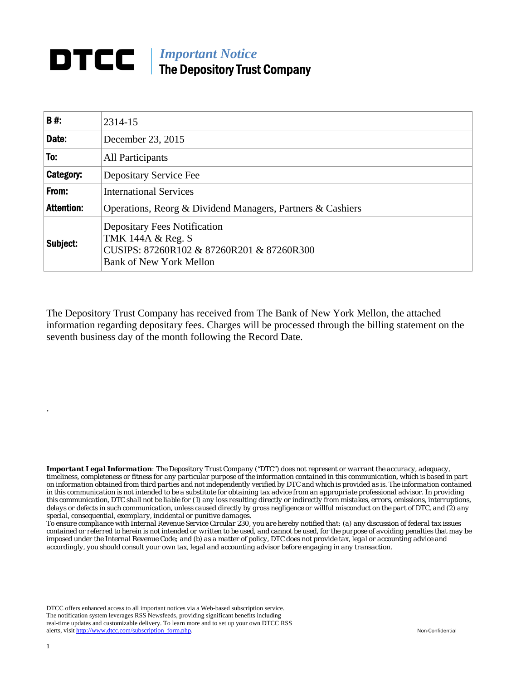## *Important Notice*  The Depository Trust Company

| <b>B#:</b>        | 2314-15                                                                                                                                 |
|-------------------|-----------------------------------------------------------------------------------------------------------------------------------------|
| Date:             | December 23, 2015                                                                                                                       |
| To:               | All Participants                                                                                                                        |
| Category:         | Depositary Service Fee                                                                                                                  |
| From:             | <b>International Services</b>                                                                                                           |
| <b>Attention:</b> | Operations, Reorg & Dividend Managers, Partners & Cashiers                                                                              |
| Subject:          | <b>Depositary Fees Notification</b><br>TMK 144A & Reg. S<br>CUSIPS: 87260R102 & 87260R201 & 87260R300<br><b>Bank of New York Mellon</b> |

The Depository Trust Company has received from The Bank of New York Mellon, the attached information regarding depositary fees. Charges will be processed through the billing statement on the seventh business day of the month following the Record Date.

*Important Legal Information: The Depository Trust Company ("DTC") does not represent or warrant the accuracy, adequacy, timeliness, completeness or fitness for any particular purpose of the information contained in this communication, which is based in part on information obtained from third parties and not independently verified by DTC and which is provided as is. The information contained in this communication is not intended to be a substitute for obtaining tax advice from an appropriate professional advisor. In providing this communication, DTC shall not be liable for (1) any loss resulting directly or indirectly from mistakes, errors, omissions, interruptions, delays or defects in such communication, unless caused directly by gross negligence or willful misconduct on the part of DTC, and (2) any special, consequential, exemplary, incidental or punitive damages.* 

*To ensure compliance with Internal Revenue Service Circular 230, you are hereby notified that: (a) any discussion of federal tax issues contained or referred to herein is not intended or written to be used, and cannot be used, for the purpose of avoiding penalties that may be imposed under the Internal Revenue Code; and (b) as a matter of policy, DTC does not provide tax, legal or accounting advice and accordingly, you should consult your own tax, legal and accounting advisor before engaging in any transaction.*

DTCC offers enhanced access to all important notices via a Web-based subscription service. The notification system leverages RSS Newsfeeds, providing significant benefits including real-time updates and customizable delivery. To learn more and to set up your own DTCC RSS alerts, visit http://www.dtcc.com/subscription\_form.php. Non-Confidential

.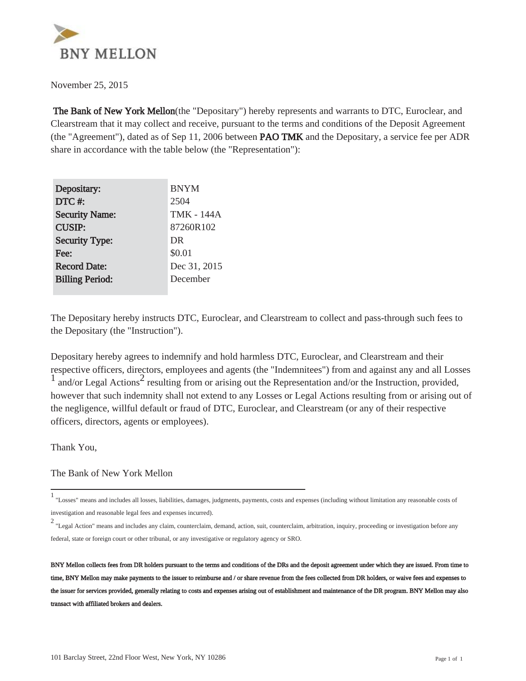

November 25, 2015

 The Bank of New York Mellon(the "Depositary") hereby represents and warrants to DTC, Euroclear, and Clearstream that it may collect and receive, pursuant to the terms and conditions of the Deposit Agreement (the "Agreement"), dated as of Sep 11, 2006 between **PAO TMK** and the Depositary, a service fee per ADR share in accordance with the table below (the "Representation"):

| Depositary:            | <b>BNYM</b>  |
|------------------------|--------------|
| DTC#:                  | 2504         |
| <b>Security Name:</b>  | TMK - 144A   |
| <b>CUSIP:</b>          | 87260R102    |
| <b>Security Type:</b>  | DR           |
| Fee:                   | \$0.01       |
| <b>Record Date:</b>    | Dec 31, 2015 |
| <b>Billing Period:</b> | December     |
|                        |              |

The Depositary hereby instructs DTC, Euroclear, and Clearstream to collect and pass-through such fees to the Depositary (the "Instruction").

Depositary hereby agrees to indemnify and hold harmless DTC, Euroclear, and Clearstream and their respective officers, directors, employees and agents (the "Indemnitees") from and against any and all Losses  $\frac{1}{1}$  and/or Legal Actions<sup>2</sup> resulting from or arising out the Representation and/or the Instruction, provided, however that such indemnity shall not extend to any Losses or Legal Actions resulting from or arising out of the negligence, willful default or fraud of DTC, Euroclear, and Clearstream (or any of their respective officers, directors, agents or employees).

Thank You,

The Bank of New York Mellon

<sup>1</sup> "Losses" means and includes all losses, liabilities, damages, judgments, payments, costs and expenses (including without limitation any reasonable costs of investigation and reasonable legal fees and expenses incurred).

<sup>2</sup> "Legal Action" means and includes any claim, counterclaim, demand, action, suit, counterclaim, arbitration, inquiry, proceeding or investigation before any federal, state or foreign court or other tribunal, or any investigative or regulatory agency or SRO.

BNY Mellon collects fees from DR holders pursuant to the terms and conditions of the DRs and the deposit agreement under which they are issued. From time to time, BNY Mellon may make payments to the issuer to reimburse and / or share revenue from the fees collected from DR holders, or waive fees and expenses to the issuer for services provided, generally relating to costs and expenses arising out of establishment and maintenance of the DR program. BNY Mellon may also transact with affiliated brokers and dealers.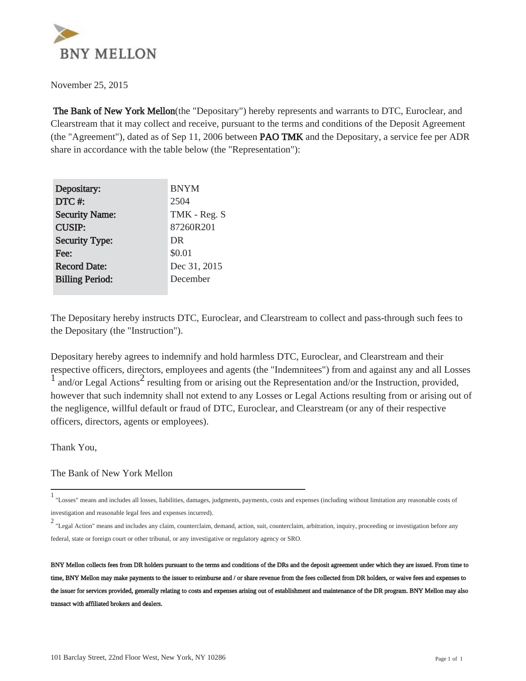

November 25, 2015

 The Bank of New York Mellon(the "Depositary") hereby represents and warrants to DTC, Euroclear, and Clearstream that it may collect and receive, pursuant to the terms and conditions of the Deposit Agreement (the "Agreement"), dated as of Sep 11, 2006 between **PAO TMK** and the Depositary, a service fee per ADR share in accordance with the table below (the "Representation"):

| Depositary:            | <b>BNYM</b>  |
|------------------------|--------------|
| DTC#:                  | 2504         |
| <b>Security Name:</b>  | TMK - Reg. S |
| <b>CUSIP:</b>          | 87260R201    |
| <b>Security Type:</b>  | DR           |
| Fee:                   | \$0.01       |
| <b>Record Date:</b>    | Dec 31, 2015 |
| <b>Billing Period:</b> | December     |
|                        |              |

The Depositary hereby instructs DTC, Euroclear, and Clearstream to collect and pass-through such fees to the Depositary (the "Instruction").

Depositary hereby agrees to indemnify and hold harmless DTC, Euroclear, and Clearstream and their respective officers, directors, employees and agents (the "Indemnitees") from and against any and all Losses  $\frac{1}{1}$  and/or Legal Actions<sup>2</sup> resulting from or arising out the Representation and/or the Instruction, provided, however that such indemnity shall not extend to any Losses or Legal Actions resulting from or arising out of the negligence, willful default or fraud of DTC, Euroclear, and Clearstream (or any of their respective officers, directors, agents or employees).

Thank You,

The Bank of New York Mellon

<sup>1</sup> "Losses" means and includes all losses, liabilities, damages, judgments, payments, costs and expenses (including without limitation any reasonable costs of investigation and reasonable legal fees and expenses incurred).

<sup>2</sup> "Legal Action" means and includes any claim, counterclaim, demand, action, suit, counterclaim, arbitration, inquiry, proceeding or investigation before any federal, state or foreign court or other tribunal, or any investigative or regulatory agency or SRO.

BNY Mellon collects fees from DR holders pursuant to the terms and conditions of the DRs and the deposit agreement under which they are issued. From time to time, BNY Mellon may make payments to the issuer to reimburse and / or share revenue from the fees collected from DR holders, or waive fees and expenses to the issuer for services provided, generally relating to costs and expenses arising out of establishment and maintenance of the DR program. BNY Mellon may also transact with affiliated brokers and dealers.